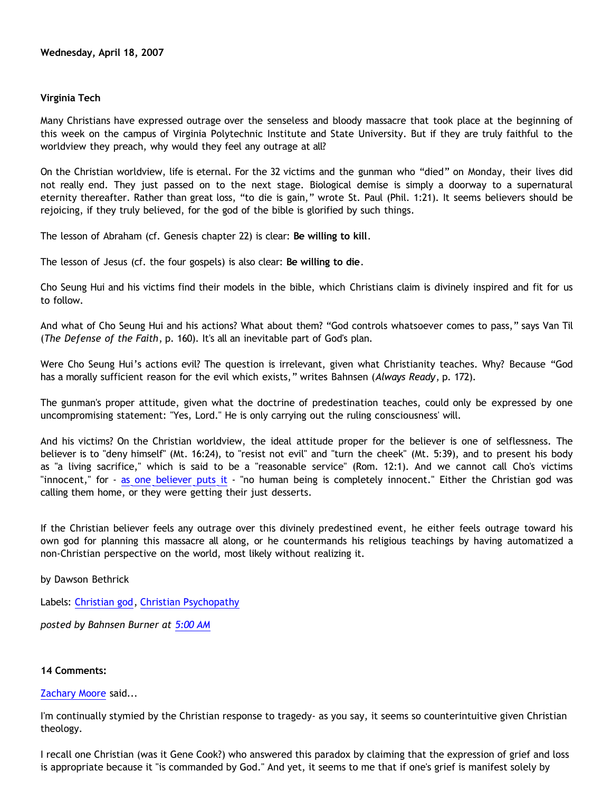## **Virginia Tech**

Many Christians have expressed outrage over the senseless and bloody massacre that took place at the beginning of this week on the campus of Virginia Polytechnic Institute and State University. But if they are truly faithful to the worldview they preach, why would they feel any outrage at all?

On the Christian worldview, life is eternal. For the 32 victims and the gunman who "died" on Monday, their lives did not really end. They just passed on to the next stage. Biological demise is simply a doorway to a supernatural eternity thereafter. Rather than great loss, "to die is gain," wrote St. Paul (Phil. 1:21). It seems believers should be rejoicing, if they truly believed, for the god of the bible is glorified by such things.

The lesson of Abraham (cf. Genesis chapter 22) is clear: **Be willing to kill**.

The lesson of Jesus (cf. the four gospels) is also clear: **Be willing to die**.

Cho Seung Hui and his victims find their models in the bible, which Christians claim is divinely inspired and fit for us to follow.

And what of Cho Seung Hui and his actions? What about them? "God controls whatsoever comes to pass," says Van Til (*The Defense of the Faith*, p. 160). It's all an inevitable part of God's plan.

Were Cho Seung Hui's actions evil? The question is irrelevant, given what Christianity teaches. Why? Because "God has a morally sufficient reason for the evil which exists," writes Bahnsen (*Always Ready*, p. 172).

The gunman's proper attitude, given what the doctrine of predestination teaches, could only be expressed by one uncompromising statement: "Yes, Lord." He is only carrying out the ruling consciousness' will.

And his victims? On the Christian worldview, the ideal attitude proper for the believer is one of selflessness. The believer is to "deny himself" (Mt. 16:24), to "resist not evil" and "turn the cheek" (Mt. 5:39), and to present his body as "a living sacrifice," which is said to be a "reasonable service" (Rom. 12:1). And we cannot call Cho's victims "innocent," for - [as one believer puts it](http://triablogue.blogspot.com/2007/04/objective-morality.html) - "no human being is completely innocent." Either the Christian god was calling them home, or they were getting their just desserts.

If the Christian believer feels any outrage over this divinely predestined event, he either feels outrage toward his own god for planning this massacre all along, or he countermands his religious teachings by having automatized a non-Christian perspective on the world, most likely without realizing it.

by Dawson Bethrick

Labels: [Christian god](http://bahnsenburner.blogspot.com/search/label/Christian%20god), [Christian Psychopathy](http://bahnsenburner.blogspot.com/search/label/Christian%20Psychopathy)

*posted by Bahnsen Burner at [5:00 AM](http://bahnsenburner.blogspot.com/2007/04/virginia-tech.html)*

### **14 Comments:**

[Zachary Moore](http://www.blogger.com/profile/16991061670470673718) said...

I'm continually stymied by the Christian response to tragedy- as you say, it seems so counterintuitive given Christian theology.

I recall one Christian (was it Gene Cook?) who answered this paradox by claiming that the expression of grief and loss is appropriate because it "is commanded by God." And yet, it seems to me that if one's grief is manifest solely by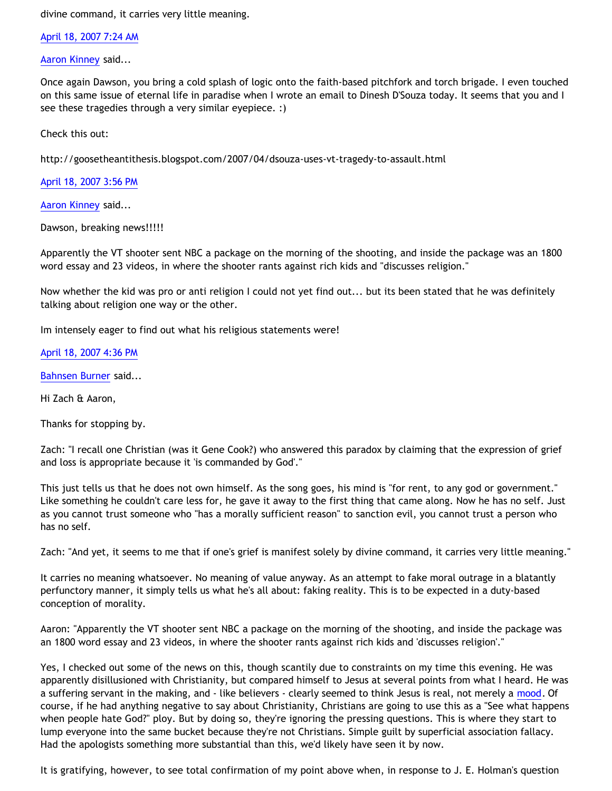divine command, it carries very little meaning.

[April 18, 2007 7:24 AM](http://bahnsenburner.blogspot.com/2007/04/5748825365475358519)

[Aaron Kinney](http://www.blogger.com/profile/12059982934663353474) said...

Once again Dawson, you bring a cold splash of logic onto the faith-based pitchfork and torch brigade. I even touched on this same issue of eternal life in paradise when I wrote an email to Dinesh D'Souza today. It seems that you and I see these tragedies through a very similar eyepiece. :)

Check this out:

<http://goosetheantithesis.blogspot.com/2007/04/dsouza-uses-vt-tragedy-to-assault.html>

[April 18, 2007 3:56 PM](http://bahnsenburner.blogspot.com/2007/04/9123512921111464426)

[Aaron Kinney](http://www.blogger.com/profile/12059982934663353474) said...

Dawson, breaking news!!!!!

Apparently the VT shooter sent NBC a package on the morning of the shooting, and inside the package was an 1800 word essay and 23 videos, in where the shooter rants against rich kids and "discusses religion."

Now whether the kid was pro or anti religion I could not yet find out... but its been stated that he was definitely talking about religion one way or the other.

Im intensely eager to find out what his religious statements were!

[April 18, 2007 4:36 PM](http://bahnsenburner.blogspot.com/2007/04/3557630310811332152)

[Bahnsen Burner](http://www.blogger.com/profile/11030029491768748360) said...

Hi Zach & Aaron,

Thanks for stopping by.

Zach: "I recall one Christian (was it Gene Cook?) who answered this paradox by claiming that the expression of grief and loss is appropriate because it 'is commanded by God'."

This just tells us that he does not own himself. As the song goes, his mind is "for rent, to any god or government." Like something he couldn't care less for, he gave it away to the first thing that came along. Now he has no self. Just as you cannot trust someone who "has a morally sufficient reason" to sanction evil, you cannot trust a person who has no self.

Zach: "And yet, it seems to me that if one's grief is manifest solely by divine command, it carries very little meaning."

It carries no meaning whatsoever. No meaning of value anyway. As an attempt to fake moral outrage in a blatantly perfunctory manner, it simply tells us what he's all about: faking reality. This is to be expected in a duty-based conception of morality.

Aaron: "Apparently the VT shooter sent NBC a package on the morning of the shooting, and inside the package was an 1800 word essay and 23 videos, in where the shooter rants against rich kids and 'discusses religion'."

Yes, I checked out some of the news on this, though scantily due to constraints on my time this evening. He was apparently disillusioned with Christianity, but compared himself to Jesus at several points from what I heard. He was a suffering servant in the making, and - like believers - clearly seemed to think Jesus is real, not merely a [mood](http://bahnsenburner.blogspot.com/2006/06/carr-vs-cole.html). Of course, if he had anything negative to say about Christianity, Christians are going to use this as a "See what happens when people hate God?" ploy. But by doing so, they're ignoring the pressing questions. This is where they start to lump everyone into the same bucket because they're not Christians. Simple guilt by superficial association fallacy. Had the apologists something more substantial than this, we'd likely have seen it by now.

It is gratifying, however, to see total confirmation of my point above when, in response to J. E. Holman's question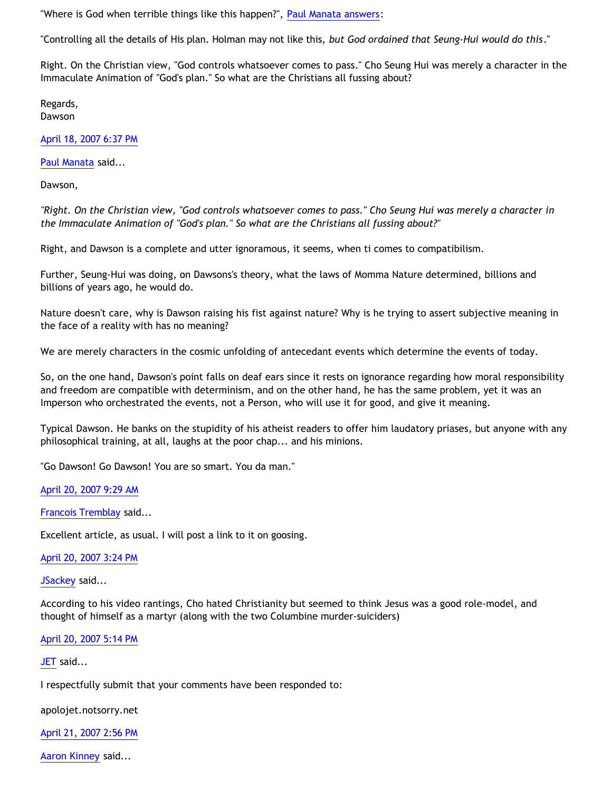"Where is God when terrible things like this happen?", [Paul Manata answers:](http://triablogue.blogspot.com/2007/04/times-like-this.html)

"Controlling all the details of His plan. Holman may not like this, *but God ordained that Seung-Hui would do this*."

Right. On the Christian view, "God controls whatsoever comes to pass." Cho Seung Hui was merely a character in the Immaculate Animation of "God's plan." So what are the Christians all fussing about?

Regards, Dawson

[April 18, 2007 6:37 PM](http://bahnsenburner.blogspot.com/2007/04/2972046802906521329)

[Paul Manata](http://www.blogger.com/profile/10615233201833238198) said...

Dawson,

*"Right. On the Christian view, "God controls whatsoever comes to pass." Cho Seung Hui was merely a character in the Immaculate Animation of "God's plan." So what are the Christians all fussing about?"*

Right, and Dawson is a complete and utter ignoramous, it seems, when ti comes to compatibilism.

Further, Seung-Hui was doing, on Dawsons's theory, what the laws of Momma Nature determined, billions and billions of years ago, he would do.

Nature doesn't care, why is Dawson raising his fist against nature? Why is he trying to assert subjective meaning in the face of a reality with has no meaning?

We are merely characters in the cosmic unfolding of antecedant events which determine the events of today.

So, on the one hand, Dawson's point falls on deaf ears since it rests on ignorance regarding how moral responsibility and freedom are compatible with determinism, and on the other hand, he has the same problem, yet it was an Imperson who orchestrated the events, not a Person, who will use it for good, and give it meaning.

Typical Dawson. He banks on the stupidity of his atheist readers to offer him laudatory priases, but anyone with any philosophical training, at all, laughs at the poor chap... and his minions.

"Go Dawson! Go Dawson! You are so smart. You da man."

[April 20, 2007 9:29 AM](http://bahnsenburner.blogspot.com/2007/04/2052162321429903289)

[Francois Tremblay](http://www.blogger.com/profile/04760072622693359795) said...

Excellent article, as usual. I will post a link to it on goosing.

### [April 20, 2007 3:24 PM](http://bahnsenburner.blogspot.com/2007/04/1550798713427482398)

[JSackey](http://www.blogger.com/profile/09604208085934821426) said...

According to his video rantings, Cho hated Christianity but seemed to think Jesus was a good role-model, and thought of himself as a martyr (along with the two Columbine murder-suiciders)

### [April 20, 2007 5:14 PM](http://bahnsenburner.blogspot.com/2007/04/4877946728504356393)

[JET](http://www.blogger.com/profile/08177947765135734409) said...

I respectfully submit that your comments have been responded to:

apolojet.notsorry.net

[April 21, 2007 2:56 PM](http://bahnsenburner.blogspot.com/2007/04/2461583589905319863)

[Aaron Kinney](http://www.blogger.com/profile/12059982934663353474) said...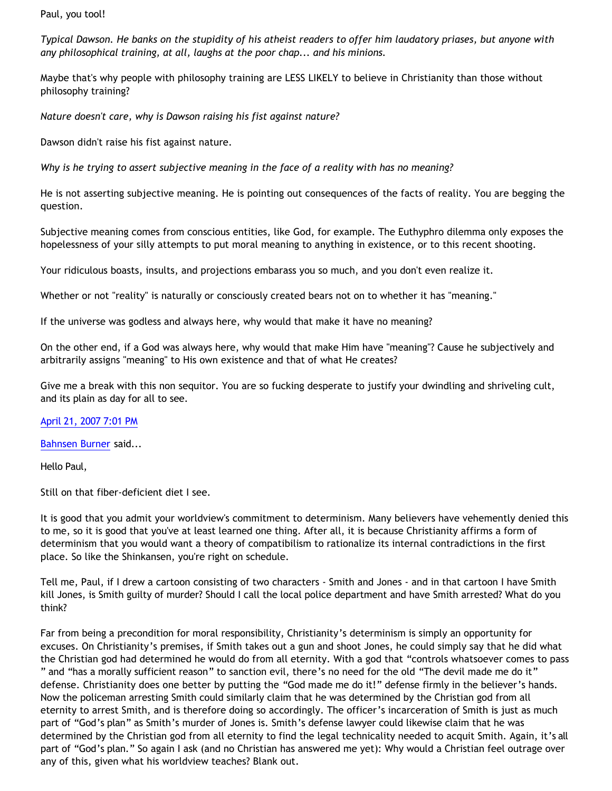Paul, you tool!

*Typical Dawson. He banks on the stupidity of his atheist readers to offer him laudatory priases, but anyone with any philosophical training, at all, laughs at the poor chap... and his minions.*

Maybe that's why people with philosophy training are LESS LIKELY to believe in Christianity than those without philosophy training?

*Nature doesn't care, why is Dawson raising his fist against nature?*

Dawson didn't raise his fist against nature.

*Why is he trying to assert subjective meaning in the face of a reality with has no meaning?*

He is not asserting subjective meaning. He is pointing out consequences of the facts of reality. You are begging the question.

Subjective meaning comes from conscious entities, like God, for example. The Euthyphro dilemma only exposes the hopelessness of your silly attempts to put moral meaning to anything in existence, or to this recent shooting.

Your ridiculous boasts, insults, and projections embarass you so much, and you don't even realize it.

Whether or not "reality" is naturally or consciously created bears not on to whether it has "meaning."

If the universe was godless and always here, why would that make it have no meaning?

On the other end, if a God was always here, why would that make Him have "meaning"? Cause he subjectively and arbitrarily assigns "meaning" to His own existence and that of what He creates?

Give me a break with this non sequitor. You are so fucking desperate to justify your dwindling and shriveling cult, and its plain as day for all to see.

[April 21, 2007 7:01 PM](http://bahnsenburner.blogspot.com/2007/04/5849435463336459315)

[Bahnsen Burner](http://www.blogger.com/profile/11030029491768748360) said...

Hello Paul,

Still on that fiber-deficient diet I see.

It is good that you admit your worldview's commitment to determinism. Many believers have vehemently denied this to me, so it is good that you've at least learned one thing. After all, it is because Christianity affirms a form of determinism that you would want a theory of compatibilism to rationalize its internal contradictions in the first place. So like the Shinkansen, you're right on schedule.

Tell me, Paul, if I drew a cartoon consisting of two characters - Smith and Jones - and in that cartoon I have Smith kill Jones, is Smith guilty of murder? Should I call the local police department and have Smith arrested? What do you think?

Far from being a precondition for moral responsibility, Christianity's determinism is simply an opportunity for excuses. On Christianity's premises, if Smith takes out a gun and shoot Jones, he could simply say that he did what the Christian god had determined he would do from all eternity. With a god that "controls whatsoever comes to pass " and "has a morally sufficient reason" to sanction evil, there's no need for the old "The devil made me do it" defense. Christianity does one better by putting the "God made me do it!" defense firmly in the believer's hands. Now the policeman arresting Smith could similarly claim that he was determined by the Christian god from all eternity to arrest Smith, and is therefore doing so accordingly. The officer's incarceration of Smith is just as much part of "God's plan" as Smith's murder of Jones is. Smith's defense lawyer could likewise claim that he was determined by the Christian god from all eternity to find the legal technicality needed to acquit Smith. Again, it's all part of "God's plan." So again I ask (and no Christian has answered me yet): Why would a Christian feel outrage over any of this, given what his worldview teaches? Blank out.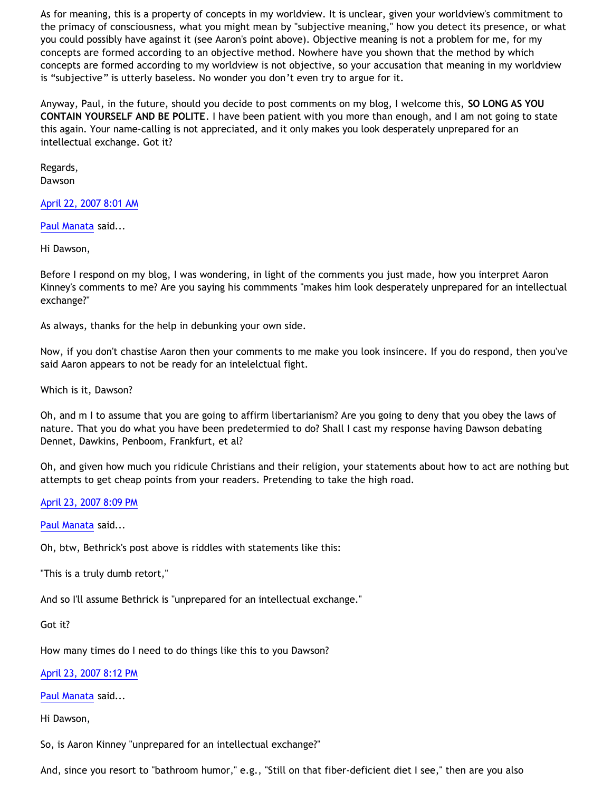As for meaning, this is a property of concepts in my worldview. It is unclear, given your worldview's commitment to the primacy of consciousness, what you might mean by "subjective meaning," how you detect its presence, or what you could possibly have against it (see Aaron's point above). Objective meaning is not a problem for me, for my concepts are formed according to an objective method. Nowhere have you shown that the method by which concepts are formed according to my worldview is not objective, so your accusation that meaning in my worldview is "subjective" is utterly baseless. No wonder you don't even try to argue for it.

Anyway, Paul, in the future, should you decide to post comments on my blog, I welcome this, **SO LONG AS YOU CONTAIN YOURSELF AND BE POLITE**. I have been patient with you more than enough, and I am not going to state this again. Your name-calling is not appreciated, and it only makes you look desperately unprepared for an intellectual exchange. Got it?

Regards, Dawson

# [April 22, 2007 8:01 AM](http://bahnsenburner.blogspot.com/2007/04/7314611344300895325)

[Paul Manata](http://www.blogger.com/profile/10615233201833238198) said...

Hi Dawson,

Before I respond on my blog, I was wondering, in light of the comments you just made, how you interpret Aaron Kinney's comments to me? Are you saying his commments "makes him look desperately unprepared for an intellectual exchange?"

As always, thanks for the help in debunking your own side.

Now, if you don't chastise Aaron then your comments to me make you look insincere. If you do respond, then you've said Aaron appears to not be ready for an intelelctual fight.

Which is it, Dawson?

Oh, and m I to assume that you are going to affirm libertarianism? Are you going to deny that you obey the laws of nature. That you do what you have been predetermied to do? Shall I cast my response having Dawson debating Dennet, Dawkins, Penboom, Frankfurt, et al?

Oh, and given how much you ridicule Christians and their religion, your statements about how to act are nothing but attempts to get cheap points from your readers. Pretending to take the high road.

[April 23, 2007 8:09 PM](http://bahnsenburner.blogspot.com/2007/04/6337937488320829812)

[Paul Manata](http://www.blogger.com/profile/10615233201833238198) said...

Oh, btw, Bethrick's post above is riddles with statements like this:

"This is a truly dumb retort,"

And so I'll assume Bethrick is "unprepared for an intellectual exchange."

Got it?

How many times do I need to do things like this to you Dawson?

[April 23, 2007 8:12 PM](http://bahnsenburner.blogspot.com/2007/04/2361577301584249970)

[Paul Manata](http://www.blogger.com/profile/10615233201833238198) said...

Hi Dawson,

So, is Aaron Kinney "unprepared for an intellectual exchange?"

And, since you resort to "bathroom humor," e.g., "Still on that fiber-deficient diet I see," then are you also